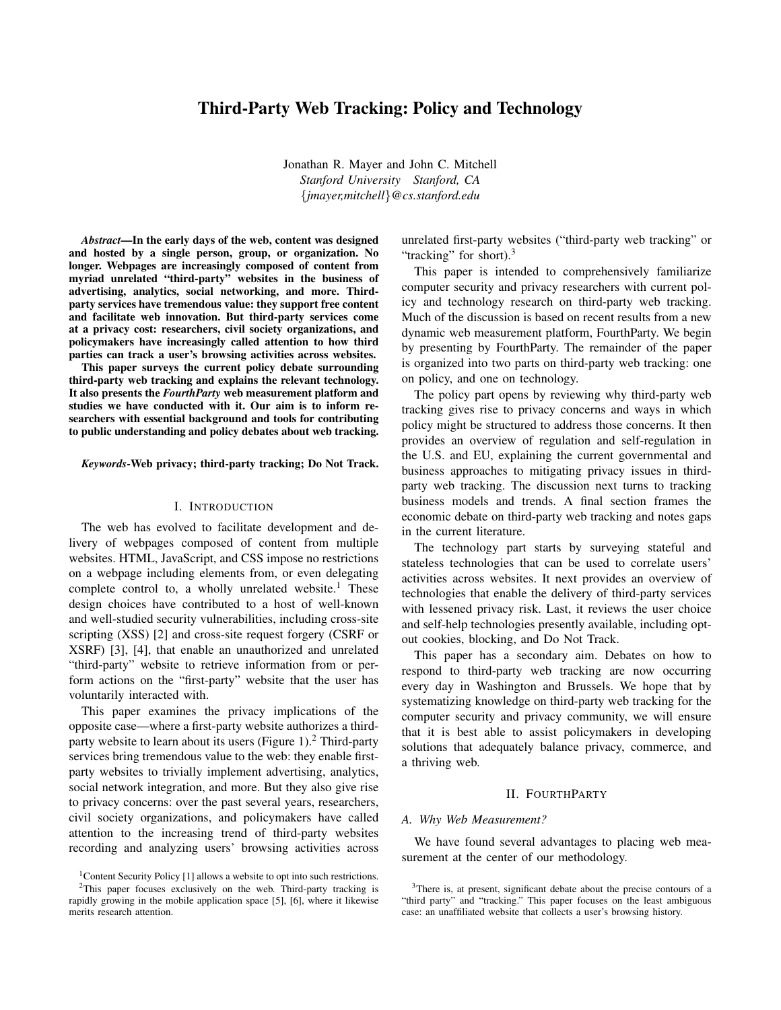# Third-Party Web Tracking: Policy and Technology

Jonathan R. Mayer and John C. Mitchell *Stanford University Stanford, CA* {*jmayer,mitchell*}*@cs.stanford.edu*

*Abstract*—In the early days of the web, content was designed and hosted by a single person, group, or organization. No longer. Webpages are increasingly composed of content from myriad unrelated "third-party" websites in the business of advertising, analytics, social networking, and more. Thirdparty services have tremendous value: they support free content and facilitate web innovation. But third-party services come at a privacy cost: researchers, civil society organizations, and policymakers have increasingly called attention to how third parties can track a user's browsing activities across websites.

This paper surveys the current policy debate surrounding third-party web tracking and explains the relevant technology. It also presents the *FourthParty* web measurement platform and studies we have conducted with it. Our aim is to inform researchers with essential background and tools for contributing to public understanding and policy debates about web tracking.

#### *Keywords*-Web privacy; third-party tracking; Do Not Track.

### I. INTRODUCTION

The web has evolved to facilitate development and delivery of webpages composed of content from multiple websites. HTML, JavaScript, and CSS impose no restrictions on a webpage including elements from, or even delegating complete control to, a wholly unrelated website.<sup>1</sup> These design choices have contributed to a host of well-known and well-studied security vulnerabilities, including cross-site scripting (XSS) [2] and cross-site request forgery (CSRF or XSRF) [3], [4], that enable an unauthorized and unrelated "third-party" website to retrieve information from or perform actions on the "first-party" website that the user has voluntarily interacted with.

This paper examines the privacy implications of the opposite case—where a first-party website authorizes a thirdparty website to learn about its users (Figure 1). $<sup>2</sup>$  Third-party</sup> services bring tremendous value to the web: they enable firstparty websites to trivially implement advertising, analytics, social network integration, and more. But they also give rise to privacy concerns: over the past several years, researchers, civil society organizations, and policymakers have called attention to the increasing trend of third-party websites recording and analyzing users' browsing activities across unrelated first-party websites ("third-party web tracking" or "tracking" for short). $3$ 

This paper is intended to comprehensively familiarize computer security and privacy researchers with current policy and technology research on third-party web tracking. Much of the discussion is based on recent results from a new dynamic web measurement platform, FourthParty. We begin by presenting by FourthParty. The remainder of the paper is organized into two parts on third-party web tracking: one on policy, and one on technology.

The policy part opens by reviewing why third-party web tracking gives rise to privacy concerns and ways in which policy might be structured to address those concerns. It then provides an overview of regulation and self-regulation in the U.S. and EU, explaining the current governmental and business approaches to mitigating privacy issues in thirdparty web tracking. The discussion next turns to tracking business models and trends. A final section frames the economic debate on third-party web tracking and notes gaps in the current literature.

The technology part starts by surveying stateful and stateless technologies that can be used to correlate users' activities across websites. It next provides an overview of technologies that enable the delivery of third-party services with lessened privacy risk. Last, it reviews the user choice and self-help technologies presently available, including optout cookies, blocking, and Do Not Track.

This paper has a secondary aim. Debates on how to respond to third-party web tracking are now occurring every day in Washington and Brussels. We hope that by systematizing knowledge on third-party web tracking for the computer security and privacy community, we will ensure that it is best able to assist policymakers in developing solutions that adequately balance privacy, commerce, and a thriving web.

#### II. FOURTHPARTY

#### *A. Why Web Measurement?*

We have found several advantages to placing web measurement at the center of our methodology.

<sup>&</sup>lt;sup>1</sup>Content Security Policy [1] allows a website to opt into such restrictions. <sup>2</sup>This paper focuses exclusively on the web. Third-party tracking is

rapidly growing in the mobile application space [5], [6], where it likewise merits research attention.

<sup>&</sup>lt;sup>3</sup>There is, at present, significant debate about the precise contours of a "third party" and "tracking." This paper focuses on the least ambiguous case: an unaffiliated website that collects a user's browsing history.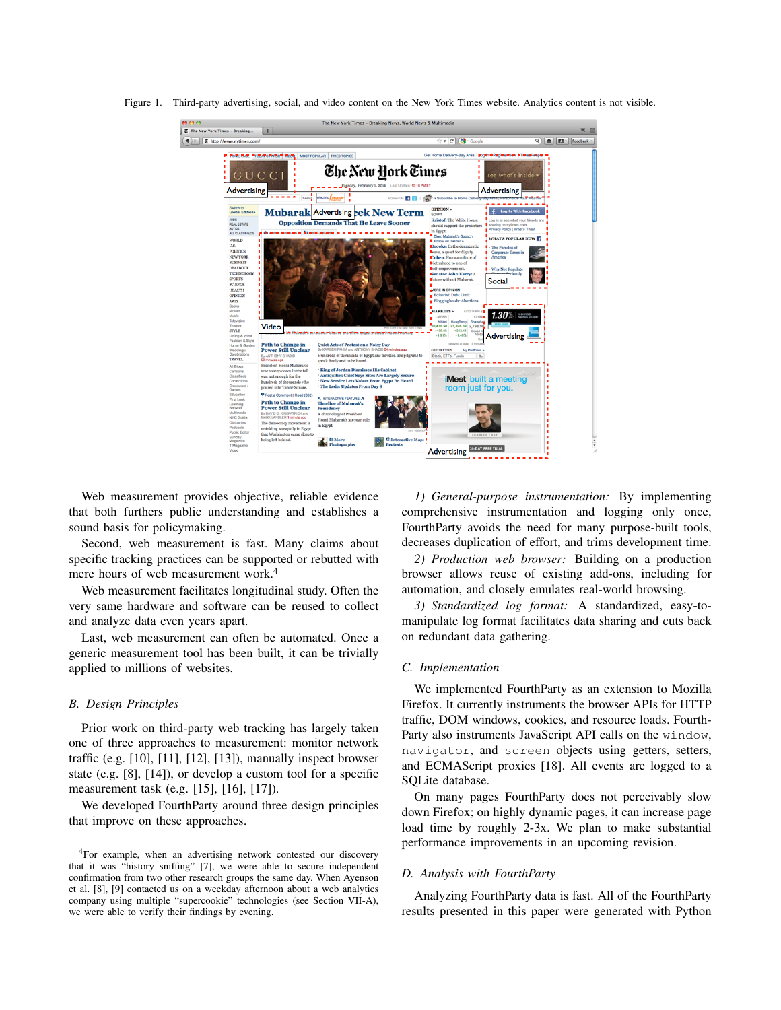

Figure 1. Third-party advertising, social, and video content on the New York Times website. Analytics content is not visible.

Web measurement provides objective, reliable evidence that both furthers public understanding and establishes a sound basis for policymaking.

Second, web measurement is fast. Many claims about specific tracking practices can be supported or rebutted with mere hours of web measurement work.<sup>4</sup>

Web measurement facilitates longitudinal study. Often the very same hardware and software can be reused to collect and analyze data even years apart.

Last, web measurement can often be automated. Once a generic measurement tool has been built, it can be trivially applied to millions of websites.

# *B. Design Principles*

Prior work on third-party web tracking has largely taken one of three approaches to measurement: monitor network traffic (e.g.  $[10]$ ,  $[11]$ ,  $[12]$ ,  $[13]$ ), manually inspect browser state (e.g. [8], [14]), or develop a custom tool for a specific measurement task (e.g. [15], [16], [17]).

We developed FourthParty around three design principles that improve on these approaches.

*1) General-purpose instrumentation:* By implementing comprehensive instrumentation and logging only once, FourthParty avoids the need for many purpose-built tools, decreases duplication of effort, and trims development time.

*2) Production web browser:* Building on a production browser allows reuse of existing add-ons, including for automation, and closely emulates real-world browsing.

*3) Standardized log format:* A standardized, easy-tomanipulate log format facilitates data sharing and cuts back on redundant data gathering.

# *C. Implementation*

We implemented FourthParty as an extension to Mozilla Firefox. It currently instruments the browser APIs for HTTP traffic, DOM windows, cookies, and resource loads. Fourth-Party also instruments JavaScript API calls on the window, navigator, and screen objects using getters, setters, and ECMAScript proxies [18]. All events are logged to a SQLite database.

On many pages FourthParty does not perceivably slow down Firefox; on highly dynamic pages, it can increase page load time by roughly 2-3x. We plan to make substantial performance improvements in an upcoming revision.

#### *D. Analysis with FourthParty*

Analyzing FourthParty data is fast. All of the FourthParty results presented in this paper were generated with Python

<sup>4</sup>For example, when an advertising network contested our discovery that it was "history sniffing" [7], we were able to secure independent confirmation from two other research groups the same day. When Ayenson et al. [8], [9] contacted us on a weekday afternoon about a web analytics company using multiple "supercookie" technologies (see Section VII-A), we were able to verify their findings by evening.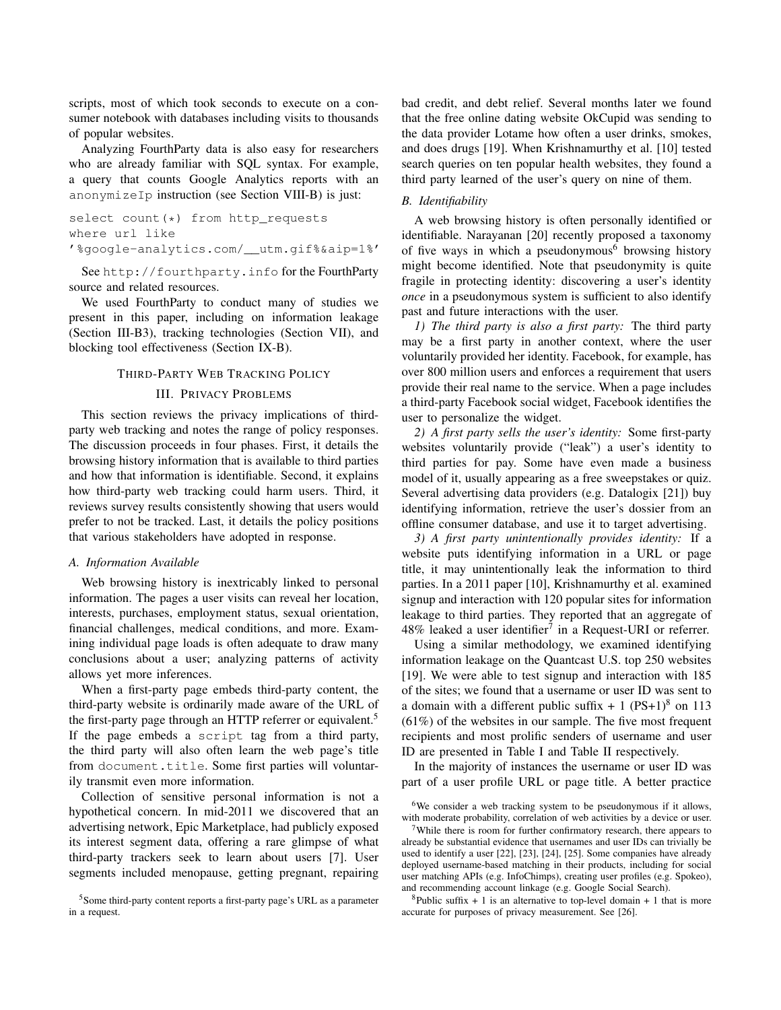scripts, most of which took seconds to execute on a consumer notebook with databases including visits to thousands of popular websites.

Analyzing FourthParty data is also easy for researchers who are already familiar with SQL syntax. For example, a query that counts Google Analytics reports with an anonymizeIp instruction (see Section VIII-B) is just:

```
select count(*) from http_requests
where url like
'%google-analytics.com/__utm.gif%&aip=1%'
```
See http://fourthparty.info for the FourthParty source and related resources.

We used FourthParty to conduct many of studies we present in this paper, including on information leakage (Section III-B3), tracking technologies (Section VII), and blocking tool effectiveness (Section IX-B).

#### THIRD-PARTY WEB TRACKING POLICY

### III. PRIVACY PROBLEMS

This section reviews the privacy implications of thirdparty web tracking and notes the range of policy responses. The discussion proceeds in four phases. First, it details the browsing history information that is available to third parties and how that information is identifiable. Second, it explains how third-party web tracking could harm users. Third, it reviews survey results consistently showing that users would prefer to not be tracked. Last, it details the policy positions that various stakeholders have adopted in response.

# *A. Information Available*

Web browsing history is inextricably linked to personal information. The pages a user visits can reveal her location, interests, purchases, employment status, sexual orientation, financial challenges, medical conditions, and more. Examining individual page loads is often adequate to draw many conclusions about a user; analyzing patterns of activity allows yet more inferences.

When a first-party page embeds third-party content, the third-party website is ordinarily made aware of the URL of the first-party page through an HTTP referrer or equivalent.<sup>5</sup> If the page embeds a script tag from a third party, the third party will also often learn the web page's title from document.title. Some first parties will voluntarily transmit even more information.

Collection of sensitive personal information is not a hypothetical concern. In mid-2011 we discovered that an advertising network, Epic Marketplace, had publicly exposed its interest segment data, offering a rare glimpse of what third-party trackers seek to learn about users [7]. User segments included menopause, getting pregnant, repairing bad credit, and debt relief. Several months later we found that the free online dating website OkCupid was sending to the data provider Lotame how often a user drinks, smokes, and does drugs [19]. When Krishnamurthy et al. [10] tested search queries on ten popular health websites, they found a third party learned of the user's query on nine of them.

## *B. Identifiability*

A web browsing history is often personally identified or identifiable. Narayanan [20] recently proposed a taxonomy of five ways in which a pseudonymous<sup>6</sup> browsing history might become identified. Note that pseudonymity is quite fragile in protecting identity: discovering a user's identity *once* in a pseudonymous system is sufficient to also identify past and future interactions with the user.

*1) The third party is also a first party:* The third party may be a first party in another context, where the user voluntarily provided her identity. Facebook, for example, has over 800 million users and enforces a requirement that users provide their real name to the service. When a page includes a third-party Facebook social widget, Facebook identifies the user to personalize the widget.

*2) A first party sells the user's identity:* Some first-party websites voluntarily provide ("leak") a user's identity to third parties for pay. Some have even made a business model of it, usually appearing as a free sweepstakes or quiz. Several advertising data providers (e.g. Datalogix [21]) buy identifying information, retrieve the user's dossier from an offline consumer database, and use it to target advertising.

*3) A first party unintentionally provides identity:* If a website puts identifying information in a URL or page title, it may unintentionally leak the information to third parties. In a 2011 paper [10], Krishnamurthy et al. examined signup and interaction with 120 popular sites for information leakage to third parties. They reported that an aggregate of 48% leaked a user identifier<sup>7</sup> in a Request-URI or referrer.

Using a similar methodology, we examined identifying information leakage on the Quantcast U.S. top 250 websites [19]. We were able to test signup and interaction with 185 of the sites; we found that a username or user ID was sent to a domain with a different public suffix  $+ 1$  (PS+1)<sup>8</sup> on 113 (61%) of the websites in our sample. The five most frequent recipients and most prolific senders of username and user ID are presented in Table I and Table II respectively.

In the majority of instances the username or user ID was part of a user profile URL or page title. A better practice

<sup>8</sup>Public suffix  $+1$  is an alternative to top-level domain  $+1$  that is more accurate for purposes of privacy measurement. See [26].

<sup>5</sup>Some third-party content reports a first-party page's URL as a parameter in a request.

<sup>6</sup>We consider a web tracking system to be pseudonymous if it allows, with moderate probability, correlation of web activities by a device or user.

<sup>&</sup>lt;sup>7</sup>While there is room for further confirmatory research, there appears to already be substantial evidence that usernames and user IDs can trivially be used to identify a user [22], [23], [24], [25]. Some companies have already deployed username-based matching in their products, including for social user matching APIs (e.g. InfoChimps), creating user profiles (e.g. Spokeo), and recommending account linkage (e.g. Google Social Search).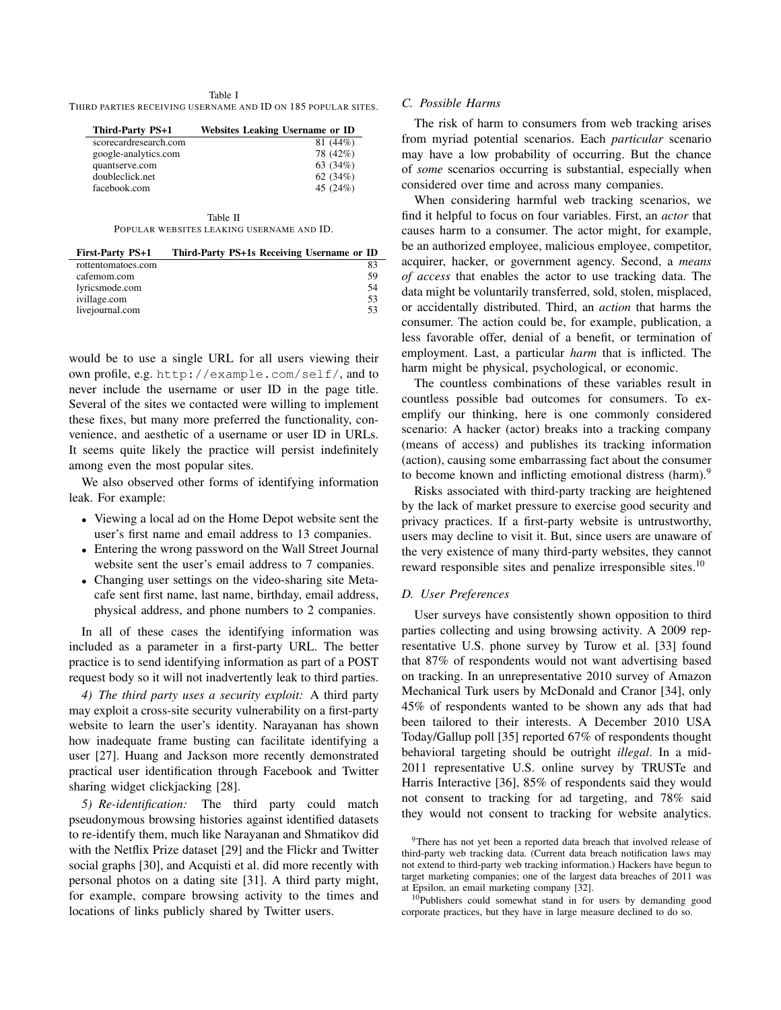#### Table I THIRD PARTIES RECEIVING USERNAME AND ID ON 185 POPULAR SITES.

| <b>Third-Party PS+1</b> | <b>Websites Leaking Username or ID</b> |
|-------------------------|----------------------------------------|
| scorecardresearch.com   | 81 (44%)                               |
| google-analytics.com    | 78 (42%)                               |
| quantserve.com          | 63 (34%)                               |
| doubleclick.net         | 62 $(34%)$                             |
| facebook.com            | 45 $(24%)$                             |

Table II POPULAR WEBSITES LEAKING USERNAME AND ID.

| <b>First-Party PS+1</b> | Third-Party PS+1s Receiving Username or ID |
|-------------------------|--------------------------------------------|
| rottentomatoes.com      | 83                                         |
| cafemom.com             | 59                                         |
| lyricsmode.com          | .54                                        |
| ivillage.com            | 53                                         |
| livejournal.com         | 53                                         |

would be to use a single URL for all users viewing their own profile, e.g. http://example.com/self/, and to never include the username or user ID in the page title. Several of the sites we contacted were willing to implement these fixes, but many more preferred the functionality, convenience, and aesthetic of a username or user ID in URLs. It seems quite likely the practice will persist indefinitely among even the most popular sites.

We also observed other forms of identifying information leak. For example:

- Viewing a local ad on the Home Depot website sent the user's first name and email address to 13 companies.
- Entering the wrong password on the Wall Street Journal website sent the user's email address to 7 companies.
- Changing user settings on the video-sharing site Metacafe sent first name, last name, birthday, email address, physical address, and phone numbers to 2 companies.

In all of these cases the identifying information was included as a parameter in a first-party URL. The better practice is to send identifying information as part of a POST request body so it will not inadvertently leak to third parties.

*4) The third party uses a security exploit:* A third party may exploit a cross-site security vulnerability on a first-party website to learn the user's identity. Narayanan has shown how inadequate frame busting can facilitate identifying a user [27]. Huang and Jackson more recently demonstrated practical user identification through Facebook and Twitter sharing widget clickjacking [28].

*5) Re-identification:* The third party could match pseudonymous browsing histories against identified datasets to re-identify them, much like Narayanan and Shmatikov did with the Netflix Prize dataset [29] and the Flickr and Twitter social graphs [30], and Acquisti et al. did more recently with personal photos on a dating site [31]. A third party might, for example, compare browsing activity to the times and locations of links publicly shared by Twitter users.

# *C. Possible Harms*

The risk of harm to consumers from web tracking arises from myriad potential scenarios. Each *particular* scenario may have a low probability of occurring. But the chance of *some* scenarios occurring is substantial, especially when considered over time and across many companies.

When considering harmful web tracking scenarios, we find it helpful to focus on four variables. First, an *actor* that causes harm to a consumer. The actor might, for example, be an authorized employee, malicious employee, competitor, acquirer, hacker, or government agency. Second, a *means of access* that enables the actor to use tracking data. The data might be voluntarily transferred, sold, stolen, misplaced, or accidentally distributed. Third, an *action* that harms the consumer. The action could be, for example, publication, a less favorable offer, denial of a benefit, or termination of employment. Last, a particular *harm* that is inflicted. The harm might be physical, psychological, or economic.

The countless combinations of these variables result in countless possible bad outcomes for consumers. To exemplify our thinking, here is one commonly considered scenario: A hacker (actor) breaks into a tracking company (means of access) and publishes its tracking information (action), causing some embarrassing fact about the consumer to become known and inflicting emotional distress (harm).<sup>9</sup>

Risks associated with third-party tracking are heightened by the lack of market pressure to exercise good security and privacy practices. If a first-party website is untrustworthy, users may decline to visit it. But, since users are unaware of the very existence of many third-party websites, they cannot reward responsible sites and penalize irresponsible sites.<sup>10</sup>

# *D. User Preferences*

User surveys have consistently shown opposition to third parties collecting and using browsing activity. A 2009 representative U.S. phone survey by Turow et al. [33] found that 87% of respondents would not want advertising based on tracking. In an unrepresentative 2010 survey of Amazon Mechanical Turk users by McDonald and Cranor [34], only 45% of respondents wanted to be shown any ads that had been tailored to their interests. A December 2010 USA Today/Gallup poll [35] reported 67% of respondents thought behavioral targeting should be outright *illegal*. In a mid-2011 representative U.S. online survey by TRUSTe and Harris Interactive [36], 85% of respondents said they would not consent to tracking for ad targeting, and 78% said they would not consent to tracking for website analytics.

<sup>&</sup>lt;sup>9</sup>There has not yet been a reported data breach that involved release of third-party web tracking data. (Current data breach notification laws may not extend to third-party web tracking information.) Hackers have begun to target marketing companies; one of the largest data breaches of 2011 was at Epsilon, an email marketing company [32].

<sup>10</sup>Publishers could somewhat stand in for users by demanding good corporate practices, but they have in large measure declined to do so.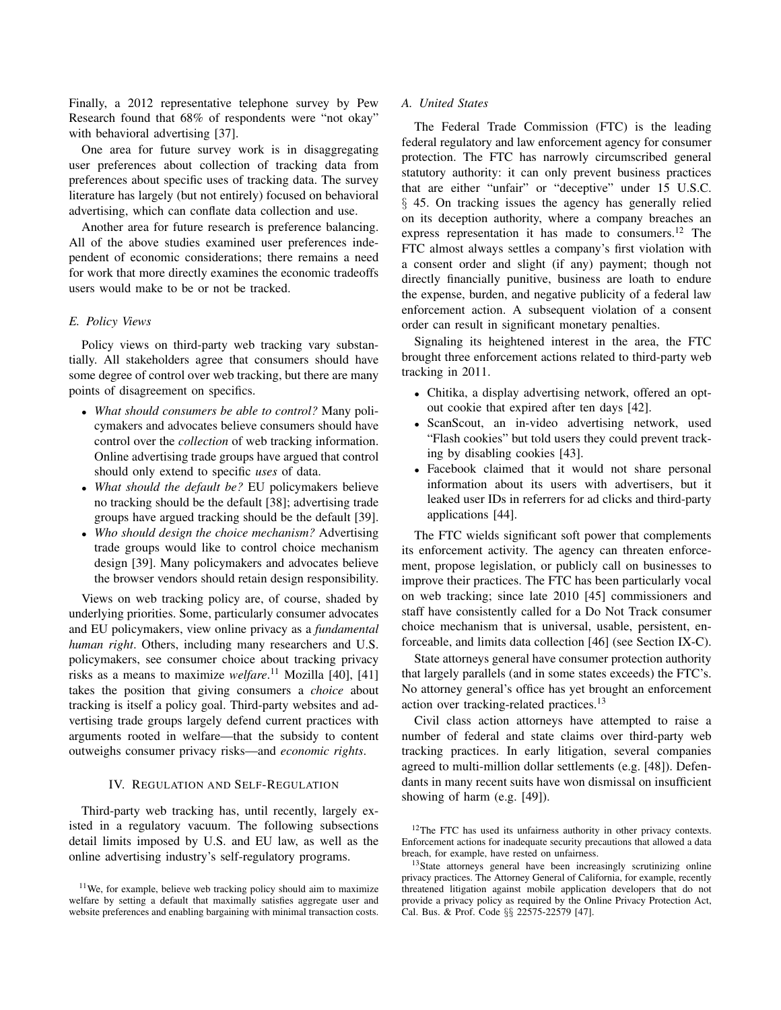Finally, a 2012 representative telephone survey by Pew Research found that 68% of respondents were "not okay" with behavioral advertising [37].

One area for future survey work is in disaggregating user preferences about collection of tracking data from preferences about specific uses of tracking data. The survey literature has largely (but not entirely) focused on behavioral advertising, which can conflate data collection and use.

Another area for future research is preference balancing. All of the above studies examined user preferences independent of economic considerations; there remains a need for work that more directly examines the economic tradeoffs users would make to be or not be tracked.

# *E. Policy Views*

Policy views on third-party web tracking vary substantially. All stakeholders agree that consumers should have some degree of control over web tracking, but there are many points of disagreement on specifics.

- *What should consumers be able to control?* Many policymakers and advocates believe consumers should have control over the *collection* of web tracking information. Online advertising trade groups have argued that control should only extend to specific *uses* of data.
- *What should the default be?* EU policymakers believe no tracking should be the default [38]; advertising trade groups have argued tracking should be the default [39].
- *Who should design the choice mechanism?* Advertising trade groups would like to control choice mechanism design [39]. Many policymakers and advocates believe the browser vendors should retain design responsibility.

Views on web tracking policy are, of course, shaded by underlying priorities. Some, particularly consumer advocates and EU policymakers, view online privacy as a *fundamental human right*. Others, including many researchers and U.S. policymakers, see consumer choice about tracking privacy risks as a means to maximize *welfare*. <sup>11</sup> Mozilla [40], [41] takes the position that giving consumers a *choice* about tracking is itself a policy goal. Third-party websites and advertising trade groups largely defend current practices with arguments rooted in welfare—that the subsidy to content outweighs consumer privacy risks—and *economic rights*.

# IV. REGULATION AND SELF-REGULATION

Third-party web tracking has, until recently, largely existed in a regulatory vacuum. The following subsections detail limits imposed by U.S. and EU law, as well as the online advertising industry's self-regulatory programs.

# *A. United States*

The Federal Trade Commission (FTC) is the leading federal regulatory and law enforcement agency for consumer protection. The FTC has narrowly circumscribed general statutory authority: it can only prevent business practices that are either "unfair" or "deceptive" under 15 U.S.C. § 45. On tracking issues the agency has generally relied on its deception authority, where a company breaches an express representation it has made to consumers.<sup>12</sup> The FTC almost always settles a company's first violation with a consent order and slight (if any) payment; though not directly financially punitive, business are loath to endure the expense, burden, and negative publicity of a federal law enforcement action. A subsequent violation of a consent order can result in significant monetary penalties.

Signaling its heightened interest in the area, the FTC brought three enforcement actions related to third-party web tracking in 2011.

- Chitika, a display advertising network, offered an optout cookie that expired after ten days [42].
- ScanScout, an in-video advertising network, used "Flash cookies" but told users they could prevent tracking by disabling cookies [43].
- Facebook claimed that it would not share personal information about its users with advertisers, but it leaked user IDs in referrers for ad clicks and third-party applications [44].

The FTC wields significant soft power that complements its enforcement activity. The agency can threaten enforcement, propose legislation, or publicly call on businesses to improve their practices. The FTC has been particularly vocal on web tracking; since late 2010 [45] commissioners and staff have consistently called for a Do Not Track consumer choice mechanism that is universal, usable, persistent, enforceable, and limits data collection [46] (see Section IX-C).

State attorneys general have consumer protection authority that largely parallels (and in some states exceeds) the FTC's. No attorney general's office has yet brought an enforcement action over tracking-related practices.<sup>13</sup>

Civil class action attorneys have attempted to raise a number of federal and state claims over third-party web tracking practices. In early litigation, several companies agreed to multi-million dollar settlements (e.g. [48]). Defendants in many recent suits have won dismissal on insufficient showing of harm (e.g. [49]).

 $11$ We, for example, believe web tracking policy should aim to maximize welfare by setting a default that maximally satisfies aggregate user and website preferences and enabling bargaining with minimal transaction costs.

<sup>&</sup>lt;sup>12</sup>The FTC has used its unfairness authority in other privacy contexts. Enforcement actions for inadequate security precautions that allowed a data breach, for example, have rested on unfairness.

<sup>&</sup>lt;sup>13</sup>State attorneys general have been increasingly scrutinizing online privacy practices. The Attorney General of California, for example, recently threatened litigation against mobile application developers that do not provide a privacy policy as required by the Online Privacy Protection Act, Cal. Bus. & Prof. Code §§ 22575-22579 [47].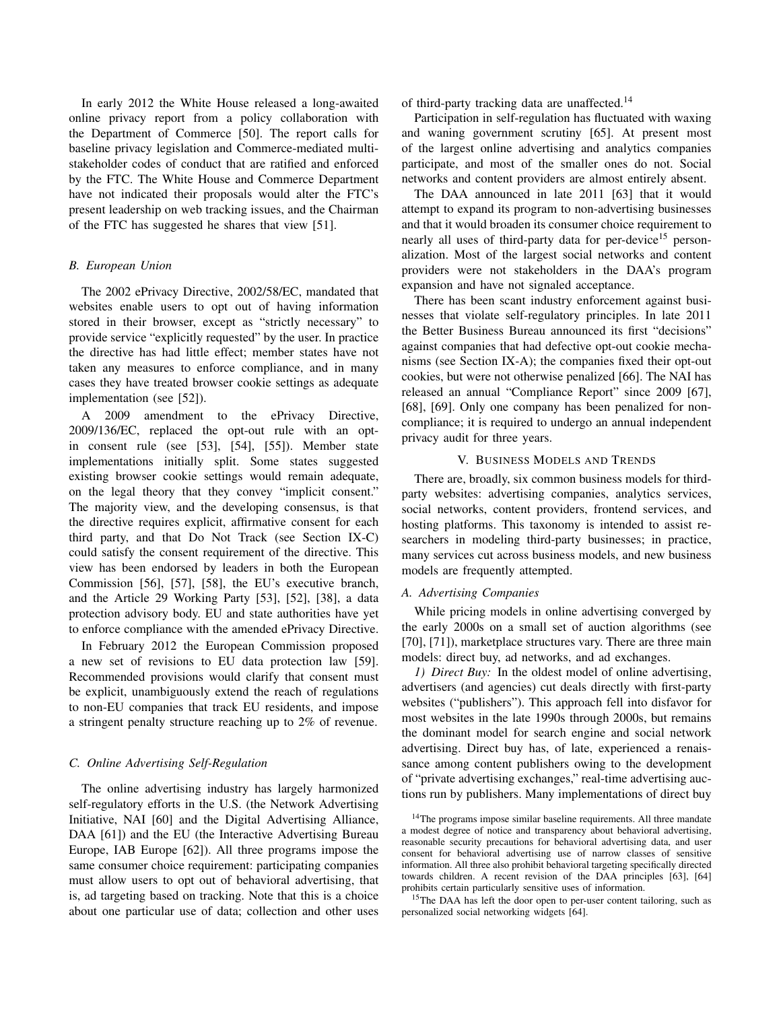In early 2012 the White House released a long-awaited online privacy report from a policy collaboration with the Department of Commerce [50]. The report calls for baseline privacy legislation and Commerce-mediated multistakeholder codes of conduct that are ratified and enforced by the FTC. The White House and Commerce Department have not indicated their proposals would alter the FTC's present leadership on web tracking issues, and the Chairman of the FTC has suggested he shares that view [51].

# *B. European Union*

The 2002 ePrivacy Directive, 2002/58/EC, mandated that websites enable users to opt out of having information stored in their browser, except as "strictly necessary" to provide service "explicitly requested" by the user. In practice the directive has had little effect; member states have not taken any measures to enforce compliance, and in many cases they have treated browser cookie settings as adequate implementation (see [52]).

A 2009 amendment to the ePrivacy Directive, 2009/136/EC, replaced the opt-out rule with an optin consent rule (see [53], [54], [55]). Member state implementations initially split. Some states suggested existing browser cookie settings would remain adequate, on the legal theory that they convey "implicit consent." The majority view, and the developing consensus, is that the directive requires explicit, affirmative consent for each third party, and that Do Not Track (see Section IX-C) could satisfy the consent requirement of the directive. This view has been endorsed by leaders in both the European Commission [56], [57], [58], the EU's executive branch, and the Article 29 Working Party [53], [52], [38], a data protection advisory body. EU and state authorities have yet to enforce compliance with the amended ePrivacy Directive.

In February 2012 the European Commission proposed a new set of revisions to EU data protection law [59]. Recommended provisions would clarify that consent must be explicit, unambiguously extend the reach of regulations to non-EU companies that track EU residents, and impose a stringent penalty structure reaching up to 2% of revenue.

# *C. Online Advertising Self-Regulation*

The online advertising industry has largely harmonized self-regulatory efforts in the U.S. (the Network Advertising Initiative, NAI [60] and the Digital Advertising Alliance, DAA [61]) and the EU (the Interactive Advertising Bureau Europe, IAB Europe [62]). All three programs impose the same consumer choice requirement: participating companies must allow users to opt out of behavioral advertising, that is, ad targeting based on tracking. Note that this is a choice about one particular use of data; collection and other uses of third-party tracking data are unaffected.<sup>14</sup>

Participation in self-regulation has fluctuated with waxing and waning government scrutiny [65]. At present most of the largest online advertising and analytics companies participate, and most of the smaller ones do not. Social networks and content providers are almost entirely absent.

The DAA announced in late 2011 [63] that it would attempt to expand its program to non-advertising businesses and that it would broaden its consumer choice requirement to nearly all uses of third-party data for per-device<sup>15</sup> personalization. Most of the largest social networks and content providers were not stakeholders in the DAA's program expansion and have not signaled acceptance.

There has been scant industry enforcement against businesses that violate self-regulatory principles. In late 2011 the Better Business Bureau announced its first "decisions" against companies that had defective opt-out cookie mechanisms (see Section IX-A); the companies fixed their opt-out cookies, but were not otherwise penalized [66]. The NAI has released an annual "Compliance Report" since 2009 [67], [68], [69]. Only one company has been penalized for noncompliance; it is required to undergo an annual independent privacy audit for three years.

#### V. BUSINESS MODELS AND TRENDS

There are, broadly, six common business models for thirdparty websites: advertising companies, analytics services, social networks, content providers, frontend services, and hosting platforms. This taxonomy is intended to assist researchers in modeling third-party businesses; in practice, many services cut across business models, and new business models are frequently attempted.

#### *A. Advertising Companies*

While pricing models in online advertising converged by the early 2000s on a small set of auction algorithms (see [70], [71]), marketplace structures vary. There are three main models: direct buy, ad networks, and ad exchanges.

*1) Direct Buy:* In the oldest model of online advertising, advertisers (and agencies) cut deals directly with first-party websites ("publishers"). This approach fell into disfavor for most websites in the late 1990s through 2000s, but remains the dominant model for search engine and social network advertising. Direct buy has, of late, experienced a renaissance among content publishers owing to the development of "private advertising exchanges," real-time advertising auctions run by publishers. Many implementations of direct buy

<sup>15</sup>The DAA has left the door open to per-user content tailoring, such as personalized social networking widgets [64].

<sup>&</sup>lt;sup>14</sup>The programs impose similar baseline requirements. All three mandate a modest degree of notice and transparency about behavioral advertising, reasonable security precautions for behavioral advertising data, and user consent for behavioral advertising use of narrow classes of sensitive information. All three also prohibit behavioral targeting specifically directed towards children. A recent revision of the DAA principles [63], [64] prohibits certain particularly sensitive uses of information.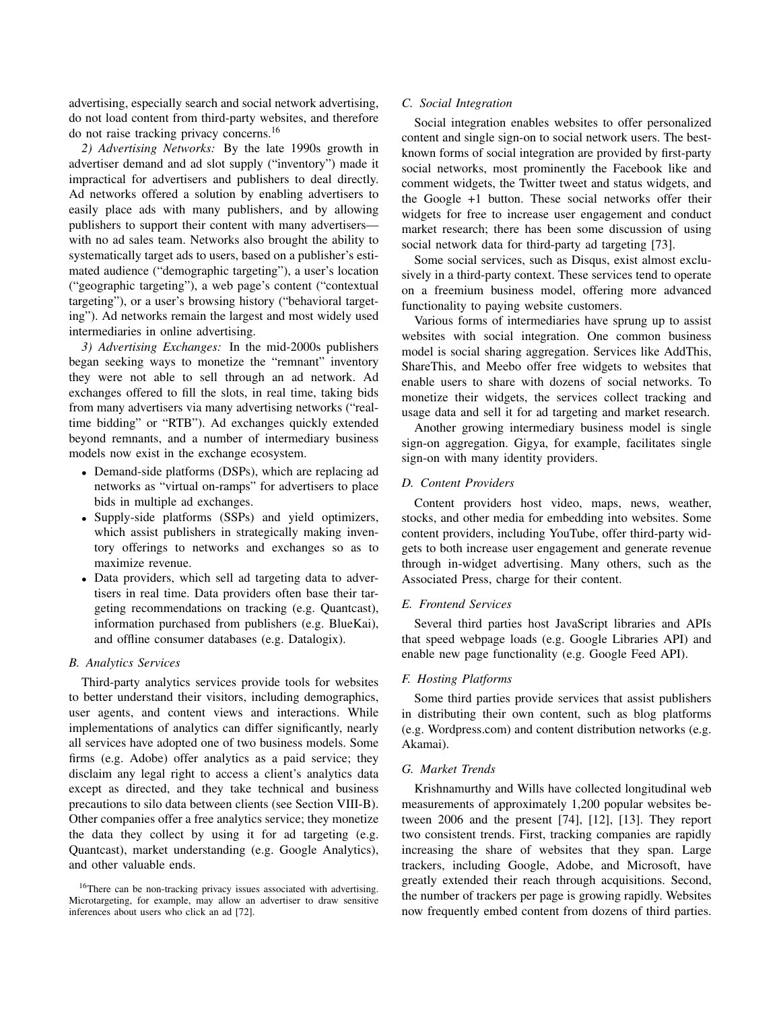advertising, especially search and social network advertising, do not load content from third-party websites, and therefore do not raise tracking privacy concerns.<sup>16</sup>

*2) Advertising Networks:* By the late 1990s growth in advertiser demand and ad slot supply ("inventory") made it impractical for advertisers and publishers to deal directly. Ad networks offered a solution by enabling advertisers to easily place ads with many publishers, and by allowing publishers to support their content with many advertisers with no ad sales team. Networks also brought the ability to systematically target ads to users, based on a publisher's estimated audience ("demographic targeting"), a user's location ("geographic targeting"), a web page's content ("contextual targeting"), or a user's browsing history ("behavioral targeting"). Ad networks remain the largest and most widely used intermediaries in online advertising.

*3) Advertising Exchanges:* In the mid-2000s publishers began seeking ways to monetize the "remnant" inventory they were not able to sell through an ad network. Ad exchanges offered to fill the slots, in real time, taking bids from many advertisers via many advertising networks ("realtime bidding" or "RTB"). Ad exchanges quickly extended beyond remnants, and a number of intermediary business models now exist in the exchange ecosystem.

- Demand-side platforms (DSPs), which are replacing ad networks as "virtual on-ramps" for advertisers to place bids in multiple ad exchanges.
- Supply-side platforms (SSPs) and yield optimizers, which assist publishers in strategically making inventory offerings to networks and exchanges so as to maximize revenue.
- Data providers, which sell ad targeting data to advertisers in real time. Data providers often base their targeting recommendations on tracking (e.g. Quantcast), information purchased from publishers (e.g. BlueKai), and offline consumer databases (e.g. Datalogix).

### *B. Analytics Services*

Third-party analytics services provide tools for websites to better understand their visitors, including demographics, user agents, and content views and interactions. While implementations of analytics can differ significantly, nearly all services have adopted one of two business models. Some firms (e.g. Adobe) offer analytics as a paid service; they disclaim any legal right to access a client's analytics data except as directed, and they take technical and business precautions to silo data between clients (see Section VIII-B). Other companies offer a free analytics service; they monetize the data they collect by using it for ad targeting (e.g. Quantcast), market understanding (e.g. Google Analytics), and other valuable ends.

# *C. Social Integration*

Social integration enables websites to offer personalized content and single sign-on to social network users. The bestknown forms of social integration are provided by first-party social networks, most prominently the Facebook like and comment widgets, the Twitter tweet and status widgets, and the Google +1 button. These social networks offer their widgets for free to increase user engagement and conduct market research; there has been some discussion of using social network data for third-party ad targeting [73].

Some social services, such as Disqus, exist almost exclusively in a third-party context. These services tend to operate on a freemium business model, offering more advanced functionality to paying website customers.

Various forms of intermediaries have sprung up to assist websites with social integration. One common business model is social sharing aggregation. Services like AddThis, ShareThis, and Meebo offer free widgets to websites that enable users to share with dozens of social networks. To monetize their widgets, the services collect tracking and usage data and sell it for ad targeting and market research.

Another growing intermediary business model is single sign-on aggregation. Gigya, for example, facilitates single sign-on with many identity providers.

# *D. Content Providers*

Content providers host video, maps, news, weather, stocks, and other media for embedding into websites. Some content providers, including YouTube, offer third-party widgets to both increase user engagement and generate revenue through in-widget advertising. Many others, such as the Associated Press, charge for their content.

# *E. Frontend Services*

Several third parties host JavaScript libraries and APIs that speed webpage loads (e.g. Google Libraries API) and enable new page functionality (e.g. Google Feed API).

# *F. Hosting Platforms*

Some third parties provide services that assist publishers in distributing their own content, such as blog platforms (e.g. Wordpress.com) and content distribution networks (e.g. Akamai).

#### *G. Market Trends*

Krishnamurthy and Wills have collected longitudinal web measurements of approximately 1,200 popular websites between 2006 and the present [74], [12], [13]. They report two consistent trends. First, tracking companies are rapidly increasing the share of websites that they span. Large trackers, including Google, Adobe, and Microsoft, have greatly extended their reach through acquisitions. Second, the number of trackers per page is growing rapidly. Websites now frequently embed content from dozens of third parties.

<sup>&</sup>lt;sup>16</sup>There can be non-tracking privacy issues associated with advertising. Microtargeting, for example, may allow an advertiser to draw sensitive inferences about users who click an ad [72].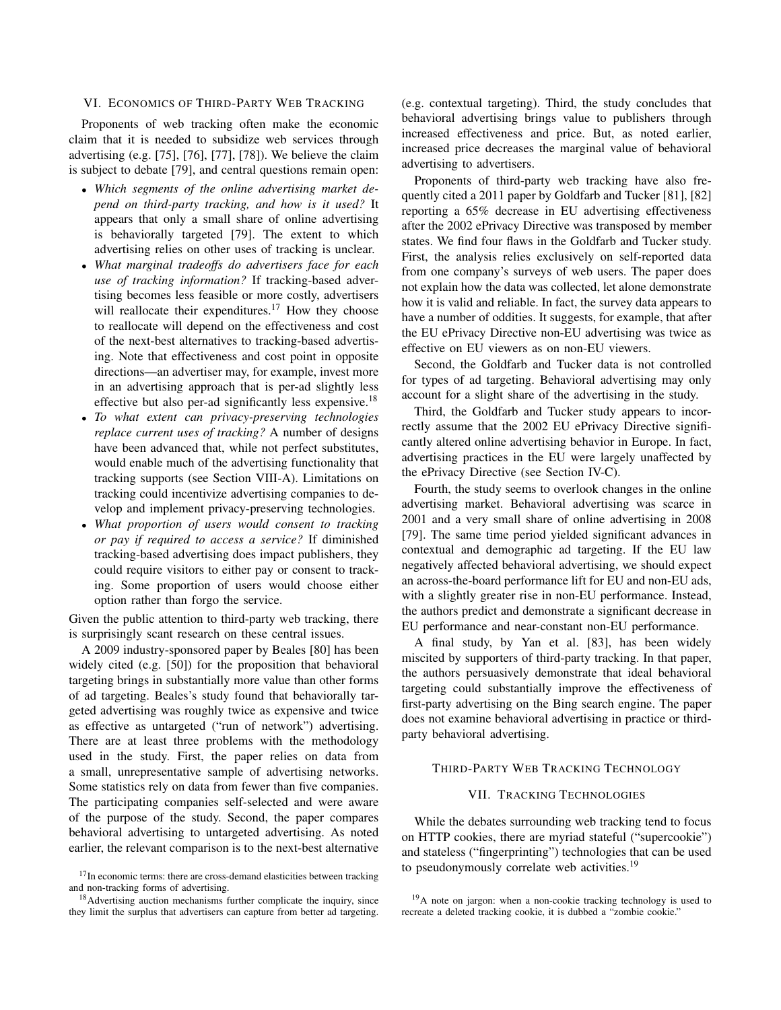# VI. ECONOMICS OF THIRD-PARTY WEB TRACKING

Proponents of web tracking often make the economic claim that it is needed to subsidize web services through advertising (e.g. [75], [76], [77], [78]). We believe the claim is subject to debate [79], and central questions remain open:

- *Which segments of the online advertising market depend on third-party tracking, and how is it used?* It appears that only a small share of online advertising is behaviorally targeted [79]. The extent to which advertising relies on other uses of tracking is unclear.
- *What marginal tradeoffs do advertisers face for each use of tracking information?* If tracking-based advertising becomes less feasible or more costly, advertisers will reallocate their expenditures.<sup>17</sup> How they choose to reallocate will depend on the effectiveness and cost of the next-best alternatives to tracking-based advertising. Note that effectiveness and cost point in opposite directions—an advertiser may, for example, invest more in an advertising approach that is per-ad slightly less effective but also per-ad significantly less expensive.<sup>18</sup>
- *To what extent can privacy-preserving technologies replace current uses of tracking?* A number of designs have been advanced that, while not perfect substitutes, would enable much of the advertising functionality that tracking supports (see Section VIII-A). Limitations on tracking could incentivize advertising companies to develop and implement privacy-preserving technologies.
- *What proportion of users would consent to tracking or pay if required to access a service?* If diminished tracking-based advertising does impact publishers, they could require visitors to either pay or consent to tracking. Some proportion of users would choose either option rather than forgo the service.

Given the public attention to third-party web tracking, there is surprisingly scant research on these central issues.

A 2009 industry-sponsored paper by Beales [80] has been widely cited (e.g. [50]) for the proposition that behavioral targeting brings in substantially more value than other forms of ad targeting. Beales's study found that behaviorally targeted advertising was roughly twice as expensive and twice as effective as untargeted ("run of network") advertising. There are at least three problems with the methodology used in the study. First, the paper relies on data from a small, unrepresentative sample of advertising networks. Some statistics rely on data from fewer than five companies. The participating companies self-selected and were aware of the purpose of the study. Second, the paper compares behavioral advertising to untargeted advertising. As noted earlier, the relevant comparison is to the next-best alternative (e.g. contextual targeting). Third, the study concludes that behavioral advertising brings value to publishers through increased effectiveness and price. But, as noted earlier, increased price decreases the marginal value of behavioral advertising to advertisers.

Proponents of third-party web tracking have also frequently cited a 2011 paper by Goldfarb and Tucker [81], [82] reporting a 65% decrease in EU advertising effectiveness after the 2002 ePrivacy Directive was transposed by member states. We find four flaws in the Goldfarb and Tucker study. First, the analysis relies exclusively on self-reported data from one company's surveys of web users. The paper does not explain how the data was collected, let alone demonstrate how it is valid and reliable. In fact, the survey data appears to have a number of oddities. It suggests, for example, that after the EU ePrivacy Directive non-EU advertising was twice as effective on EU viewers as on non-EU viewers.

Second, the Goldfarb and Tucker data is not controlled for types of ad targeting. Behavioral advertising may only account for a slight share of the advertising in the study.

Third, the Goldfarb and Tucker study appears to incorrectly assume that the 2002 EU ePrivacy Directive significantly altered online advertising behavior in Europe. In fact, advertising practices in the EU were largely unaffected by the ePrivacy Directive (see Section IV-C).

Fourth, the study seems to overlook changes in the online advertising market. Behavioral advertising was scarce in 2001 and a very small share of online advertising in 2008 [79]. The same time period yielded significant advances in contextual and demographic ad targeting. If the EU law negatively affected behavioral advertising, we should expect an across-the-board performance lift for EU and non-EU ads, with a slightly greater rise in non-EU performance. Instead, the authors predict and demonstrate a significant decrease in EU performance and near-constant non-EU performance.

A final study, by Yan et al. [83], has been widely miscited by supporters of third-party tracking. In that paper, the authors persuasively demonstrate that ideal behavioral targeting could substantially improve the effectiveness of first-party advertising on the Bing search engine. The paper does not examine behavioral advertising in practice or thirdparty behavioral advertising.

# THIRD-PARTY WEB TRACKING TECHNOLOGY

# VII. TRACKING TECHNOLOGIES

While the debates surrounding web tracking tend to focus on HTTP cookies, there are myriad stateful ("supercookie") and stateless ("fingerprinting") technologies that can be used to pseudonymously correlate web activities.<sup>19</sup>

<sup>&</sup>lt;sup>17</sup>In economic terms: there are cross-demand elasticities between tracking and non-tracking forms of advertising.

<sup>&</sup>lt;sup>18</sup> Advertising auction mechanisms further complicate the inquiry, since they limit the surplus that advertisers can capture from better ad targeting.

 $19A$  note on jargon: when a non-cookie tracking technology is used to recreate a deleted tracking cookie, it is dubbed a "zombie cookie."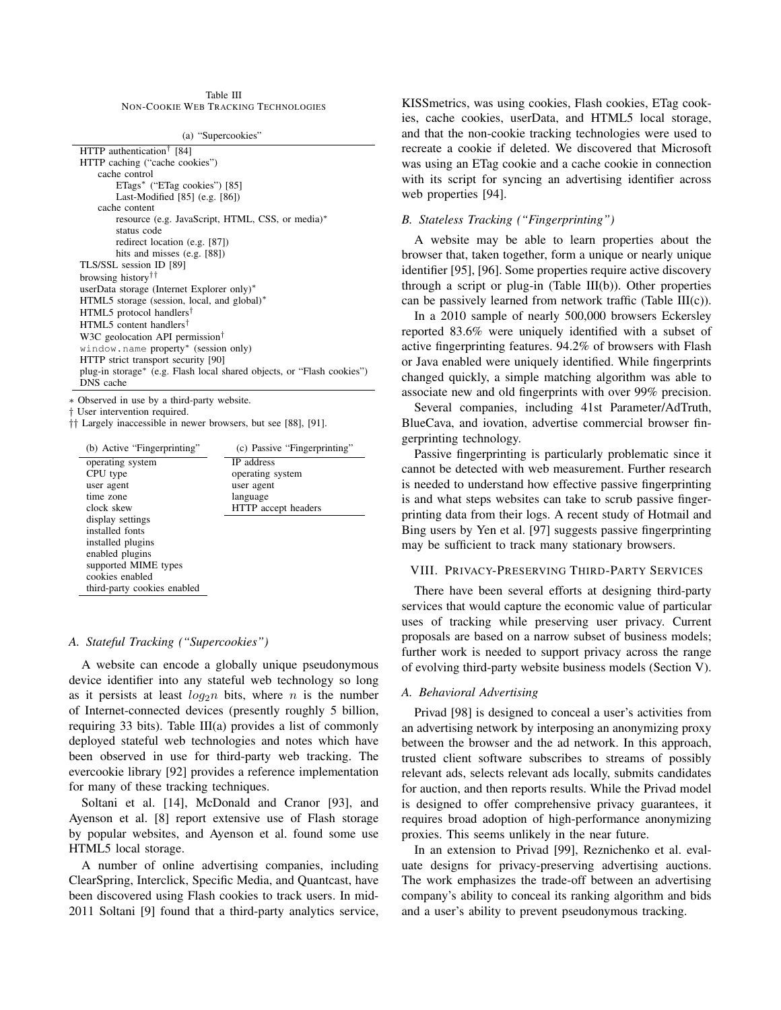| Table III                                   |  |  |  |  |
|---------------------------------------------|--|--|--|--|
| <b>NON-COOKIE WEB TRACKING TECHNOLOGIES</b> |  |  |  |  |

(a) "Supercookies"

| HTTP authentication <sup>†</sup> [84]                                  |  |  |
|------------------------------------------------------------------------|--|--|
| HTTP caching ("cache cookies")                                         |  |  |
| cache control                                                          |  |  |
| ETags* ("ETag cookies") [85]                                           |  |  |
| Last-Modified $[85]$ (e.g. $[86]$ )                                    |  |  |
| cache content                                                          |  |  |
| resource (e.g. JavaScript, HTML, CSS, or media)*                       |  |  |
| status code                                                            |  |  |
| redirect location (e.g. [87])                                          |  |  |
| hits and misses $(e.g. [88])$                                          |  |  |
| TLS/SSL session ID [89]                                                |  |  |
| browsing history <sup>††</sup>                                         |  |  |
| userData storage (Internet Explorer only)*                             |  |  |
| HTML5 storage (session, local, and global)*                            |  |  |
| HTML5 protocol handlers <sup>†</sup>                                   |  |  |
| HTML5 content handlers <sup>†</sup>                                    |  |  |
| W3C geolocation API permission <sup>†</sup>                            |  |  |
| window.name property* (session only)                                   |  |  |
| HTTP strict transport security [90]                                    |  |  |
| plug-in storage* (e.g. Flash local shared objects, or "Flash cookies") |  |  |
| DNS cache                                                              |  |  |
|                                                                        |  |  |

∗ Observed in use by a third-party website.

† User intervention required.

†† Largely inaccessible in newer browsers, but see [88], [91].

| (b) Active "Fingerprinting" | (c) Passive "Fingerprinting" |
|-----------------------------|------------------------------|
| operating system            | <b>IP</b> address            |
| CPU type                    | operating system             |
| user agent                  | user agent                   |
| time zone                   | language                     |
| clock skew                  | HTTP accept headers          |
| display settings            |                              |
| installed fonts             |                              |
| installed plugins           |                              |
| enabled plugins             |                              |
| supported MIME types        |                              |
| cookies enabled             |                              |
| third-party cookies enabled |                              |

# *A. Stateful Tracking ("Supercookies")*

A website can encode a globally unique pseudonymous device identifier into any stateful web technology so long as it persists at least  $log_2 n$  bits, where n is the number of Internet-connected devices (presently roughly 5 billion, requiring 33 bits). Table  $III(a)$  provides a list of commonly deployed stateful web technologies and notes which have been observed in use for third-party web tracking. The evercookie library [92] provides a reference implementation for many of these tracking techniques.

Soltani et al. [14], McDonald and Cranor [93], and Ayenson et al. [8] report extensive use of Flash storage by popular websites, and Ayenson et al. found some use HTML5 local storage.

A number of online advertising companies, including ClearSpring, Interclick, Specific Media, and Quantcast, have been discovered using Flash cookies to track users. In mid-2011 Soltani [9] found that a third-party analytics service, KISSmetrics, was using cookies, Flash cookies, ETag cookies, cache cookies, userData, and HTML5 local storage, and that the non-cookie tracking technologies were used to recreate a cookie if deleted. We discovered that Microsoft was using an ETag cookie and a cache cookie in connection with its script for syncing an advertising identifier across web properties [94].

# *B. Stateless Tracking ("Fingerprinting")*

A website may be able to learn properties about the browser that, taken together, form a unique or nearly unique identifier [95], [96]. Some properties require active discovery through a script or plug-in (Table III(b)). Other properties can be passively learned from network traffic (Table III(c)).

In a 2010 sample of nearly 500,000 browsers Eckersley reported 83.6% were uniquely identified with a subset of active fingerprinting features. 94.2% of browsers with Flash or Java enabled were uniquely identified. While fingerprints changed quickly, a simple matching algorithm was able to associate new and old fingerprints with over 99% precision.

Several companies, including 41st Parameter/AdTruth, BlueCava, and iovation, advertise commercial browser fingerprinting technology.

Passive fingerprinting is particularly problematic since it cannot be detected with web measurement. Further research is needed to understand how effective passive fingerprinting is and what steps websites can take to scrub passive fingerprinting data from their logs. A recent study of Hotmail and Bing users by Yen et al. [97] suggests passive fingerprinting may be sufficient to track many stationary browsers.

#### VIII. PRIVACY-PRESERVING THIRD-PARTY SERVICES

There have been several efforts at designing third-party services that would capture the economic value of particular uses of tracking while preserving user privacy. Current proposals are based on a narrow subset of business models; further work is needed to support privacy across the range of evolving third-party website business models (Section V).

### *A. Behavioral Advertising*

Privad [98] is designed to conceal a user's activities from an advertising network by interposing an anonymizing proxy between the browser and the ad network. In this approach, trusted client software subscribes to streams of possibly relevant ads, selects relevant ads locally, submits candidates for auction, and then reports results. While the Privad model is designed to offer comprehensive privacy guarantees, it requires broad adoption of high-performance anonymizing proxies. This seems unlikely in the near future.

In an extension to Privad [99], Reznichenko et al. evaluate designs for privacy-preserving advertising auctions. The work emphasizes the trade-off between an advertising company's ability to conceal its ranking algorithm and bids and a user's ability to prevent pseudonymous tracking.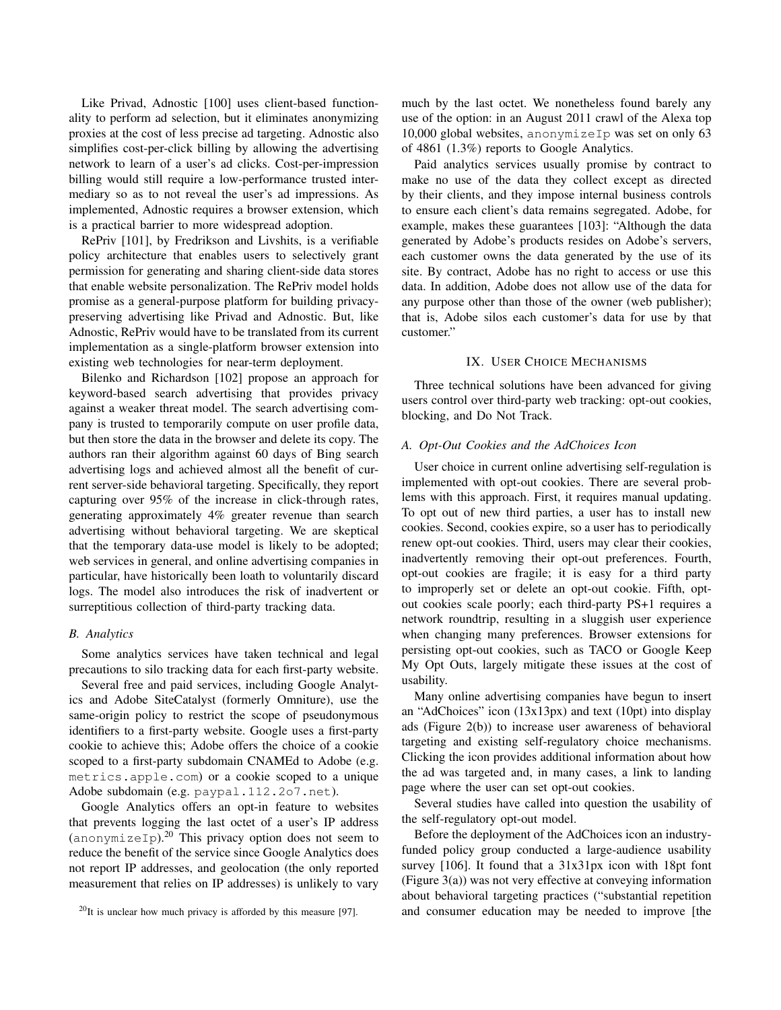Like Privad, Adnostic [100] uses client-based functionality to perform ad selection, but it eliminates anonymizing proxies at the cost of less precise ad targeting. Adnostic also simplifies cost-per-click billing by allowing the advertising network to learn of a user's ad clicks. Cost-per-impression billing would still require a low-performance trusted intermediary so as to not reveal the user's ad impressions. As implemented, Adnostic requires a browser extension, which is a practical barrier to more widespread adoption.

RePriv [101], by Fredrikson and Livshits, is a verifiable policy architecture that enables users to selectively grant permission for generating and sharing client-side data stores that enable website personalization. The RePriv model holds promise as a general-purpose platform for building privacypreserving advertising like Privad and Adnostic. But, like Adnostic, RePriv would have to be translated from its current implementation as a single-platform browser extension into existing web technologies for near-term deployment.

Bilenko and Richardson [102] propose an approach for keyword-based search advertising that provides privacy against a weaker threat model. The search advertising company is trusted to temporarily compute on user profile data, but then store the data in the browser and delete its copy. The authors ran their algorithm against 60 days of Bing search advertising logs and achieved almost all the benefit of current server-side behavioral targeting. Specifically, they report capturing over 95% of the increase in click-through rates, generating approximately 4% greater revenue than search advertising without behavioral targeting. We are skeptical that the temporary data-use model is likely to be adopted; web services in general, and online advertising companies in particular, have historically been loath to voluntarily discard logs. The model also introduces the risk of inadvertent or surreptitious collection of third-party tracking data.

### *B. Analytics*

Some analytics services have taken technical and legal precautions to silo tracking data for each first-party website.

Several free and paid services, including Google Analytics and Adobe SiteCatalyst (formerly Omniture), use the same-origin policy to restrict the scope of pseudonymous identifiers to a first-party website. Google uses a first-party cookie to achieve this; Adobe offers the choice of a cookie scoped to a first-party subdomain CNAMEd to Adobe (e.g. metrics.apple.com) or a cookie scoped to a unique Adobe subdomain (e.g. paypal.112.2o7.net).

Google Analytics offers an opt-in feature to websites that prevents logging the last octet of a user's IP address  $($ anonymizeIp).<sup>20</sup> This privacy option does not seem to reduce the benefit of the service since Google Analytics does not report IP addresses, and geolocation (the only reported measurement that relies on IP addresses) is unlikely to vary much by the last octet. We nonetheless found barely any use of the option: in an August 2011 crawl of the Alexa top 10,000 global websites, anonymizeIp was set on only 63 of 4861 (1.3%) reports to Google Analytics.

Paid analytics services usually promise by contract to make no use of the data they collect except as directed by their clients, and they impose internal business controls to ensure each client's data remains segregated. Adobe, for example, makes these guarantees [103]: "Although the data generated by Adobe's products resides on Adobe's servers, each customer owns the data generated by the use of its site. By contract, Adobe has no right to access or use this data. In addition, Adobe does not allow use of the data for any purpose other than those of the owner (web publisher); that is, Adobe silos each customer's data for use by that customer."

#### IX. USER CHOICE MECHANISMS

Three technical solutions have been advanced for giving users control over third-party web tracking: opt-out cookies, blocking, and Do Not Track.

# *A. Opt-Out Cookies and the AdChoices Icon*

User choice in current online advertising self-regulation is implemented with opt-out cookies. There are several problems with this approach. First, it requires manual updating. To opt out of new third parties, a user has to install new cookies. Second, cookies expire, so a user has to periodically renew opt-out cookies. Third, users may clear their cookies, inadvertently removing their opt-out preferences. Fourth, opt-out cookies are fragile; it is easy for a third party to improperly set or delete an opt-out cookie. Fifth, optout cookies scale poorly; each third-party PS+1 requires a network roundtrip, resulting in a sluggish user experience when changing many preferences. Browser extensions for persisting opt-out cookies, such as TACO or Google Keep My Opt Outs, largely mitigate these issues at the cost of usability.

Many online advertising companies have begun to insert an "AdChoices" icon (13x13px) and text (10pt) into display ads (Figure 2(b)) to increase user awareness of behavioral targeting and existing self-regulatory choice mechanisms. Clicking the icon provides additional information about how the ad was targeted and, in many cases, a link to landing page where the user can set opt-out cookies.

Several studies have called into question the usability of the self-regulatory opt-out model.

Before the deployment of the AdChoices icon an industryfunded policy group conducted a large-audience usability survey [106]. It found that a 31x31px icon with 18pt font (Figure 3(a)) was not very effective at conveying information about behavioral targeting practices ("substantial repetition and consumer education may be needed to improve [the

 $^{20}$ It is unclear how much privacy is afforded by this measure [97].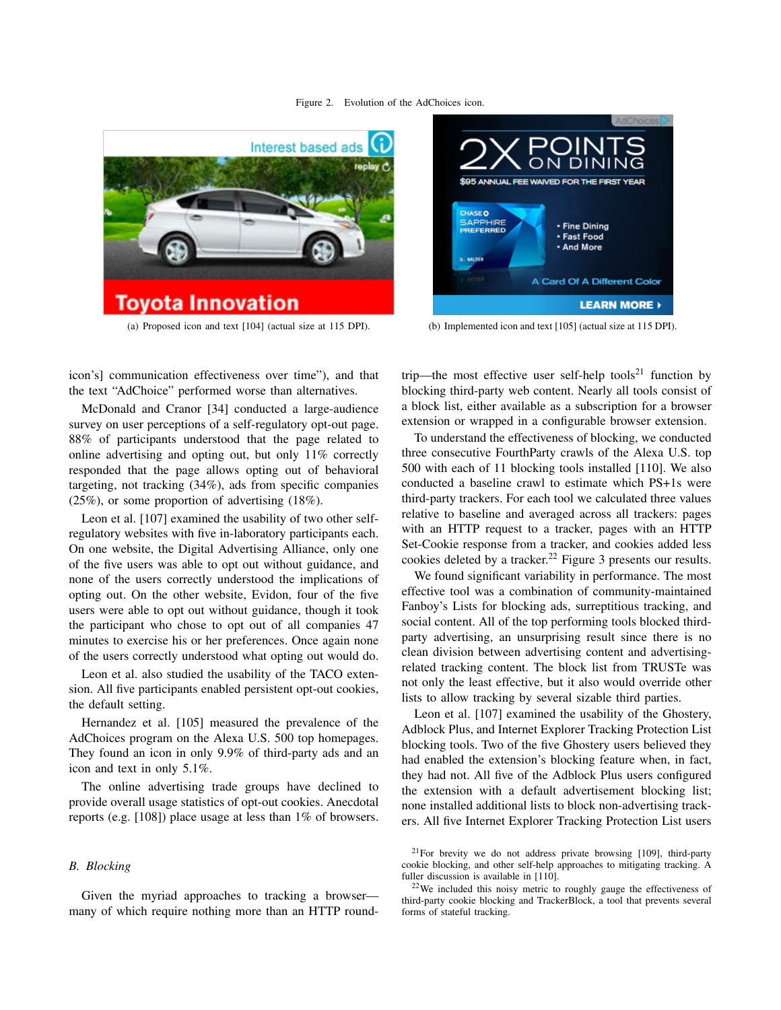



(a) Proposed icon and text [104] (actual size at 115 DPI). (b) Implemented icon and text [105] (actual size at 115 DPI).

icon's] communication effectiveness over time"), and that the text "AdChoice" performed worse than alternatives.

McDonald and Cranor [34] conducted a large-audience survey on user perceptions of a self-regulatory opt-out page. 88% of participants understood that the page related to online advertising and opting out, but only 11% correctly responded that the page allows opting out of behavioral targeting, not tracking (34%), ads from specific companies (25%), or some proportion of advertising (18%).

Leon et al. [107] examined the usability of two other selfregulatory websites with five in-laboratory participants each. On one website, the Digital Advertising Alliance, only one of the five users was able to opt out without guidance, and none of the users correctly understood the implications of opting out. On the other website, Evidon, four of the five users were able to opt out without guidance, though it took the participant who chose to opt out of all companies 47 minutes to exercise his or her preferences. Once again none of the users correctly understood what opting out would do.

Leon et al. also studied the usability of the TACO extension. All five participants enabled persistent opt-out cookies, the default setting.

Hernandez et al. [105] measured the prevalence of the AdChoices program on the Alexa U.S. 500 top homepages. They found an icon in only 9.9% of third-party ads and an icon and text in only 5.1%.

The online advertising trade groups have declined to provide overall usage statistics of opt-out cookies. Anecdotal reports (e.g. [108]) place usage at less than 1% of browsers.

# *B. Blocking*

Given the myriad approaches to tracking a browser many of which require nothing more than an HTTP roundtrip—the most effective user self-help tools<sup>21</sup> function by blocking third-party web content. Nearly all tools consist of a block list, either available as a subscription for a browser extension or wrapped in a configurable browser extension.

To understand the effectiveness of blocking, we conducted three consecutive FourthParty crawls of the Alexa U.S. top 500 with each of 11 blocking tools installed [110]. We also conducted a baseline crawl to estimate which PS+1s were third-party trackers. For each tool we calculated three values relative to baseline and averaged across all trackers: pages with an HTTP request to a tracker, pages with an HTTP Set-Cookie response from a tracker, and cookies added less cookies deleted by a tracker.<sup>22</sup> Figure 3 presents our results.

We found significant variability in performance. The most effective tool was a combination of community-maintained Fanboy's Lists for blocking ads, surreptitious tracking, and social content. All of the top performing tools blocked thirdparty advertising, an unsurprising result since there is no clean division between advertising content and advertisingrelated tracking content. The block list from TRUSTe was not only the least effective, but it also would override other lists to allow tracking by several sizable third parties.

Leon et al. [107] examined the usability of the Ghostery, Adblock Plus, and Internet Explorer Tracking Protection List blocking tools. Two of the five Ghostery users believed they had enabled the extension's blocking feature when, in fact, they had not. All five of the Adblock Plus users configured the extension with a default advertisement blocking list; none installed additional lists to block non-advertising trackers. All five Internet Explorer Tracking Protection List users

<sup>21</sup>For brevity we do not address private browsing [109], third-party cookie blocking, and other self-help approaches to mitigating tracking. A fuller discussion is available in [110].

 $22$ We included this noisy metric to roughly gauge the effectiveness of third-party cookie blocking and TrackerBlock, a tool that prevents several forms of stateful tracking.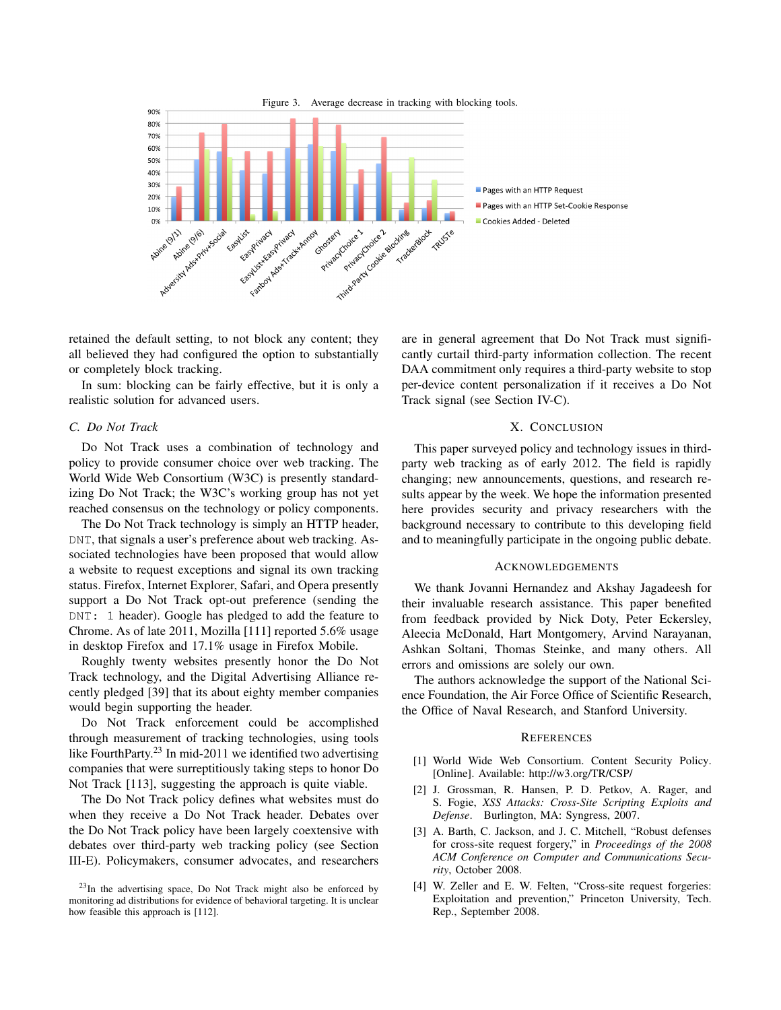

retained the default setting, to not block any content; they all believed they had configured the option to substantially or completely block tracking.

In sum: blocking can be fairly effective, but it is only a realistic solution for advanced users.

# *C. Do Not Track*

Do Not Track uses a combination of technology and policy to provide consumer choice over web tracking. The World Wide Web Consortium (W3C) is presently standardizing Do Not Track; the W3C's working group has not yet reached consensus on the technology or policy components.

The Do Not Track technology is simply an HTTP header, DNT, that signals a user's preference about web tracking. Associated technologies have been proposed that would allow a website to request exceptions and signal its own tracking status. Firefox, Internet Explorer, Safari, and Opera presently support a Do Not Track opt-out preference (sending the DNT: 1 header). Google has pledged to add the feature to Chrome. As of late 2011, Mozilla [111] reported 5.6% usage in desktop Firefox and 17.1% usage in Firefox Mobile.

Roughly twenty websites presently honor the Do Not Track technology, and the Digital Advertising Alliance recently pledged [39] that its about eighty member companies would begin supporting the header.

Do Not Track enforcement could be accomplished through measurement of tracking technologies, using tools like FourthParty.<sup>23</sup> In mid-2011 we identified two advertising companies that were surreptitiously taking steps to honor Do Not Track [113], suggesting the approach is quite viable.

The Do Not Track policy defines what websites must do when they receive a Do Not Track header. Debates over the Do Not Track policy have been largely coextensive with debates over third-party web tracking policy (see Section III-E). Policymakers, consumer advocates, and researchers are in general agreement that Do Not Track must significantly curtail third-party information collection. The recent DAA commitment only requires a third-party website to stop per-device content personalization if it receives a Do Not Track signal (see Section IV-C).

# X. CONCLUSION

This paper surveyed policy and technology issues in thirdparty web tracking as of early 2012. The field is rapidly changing; new announcements, questions, and research results appear by the week. We hope the information presented here provides security and privacy researchers with the background necessary to contribute to this developing field and to meaningfully participate in the ongoing public debate.

# ACKNOWLEDGEMENTS

We thank Jovanni Hernandez and Akshay Jagadeesh for their invaluable research assistance. This paper benefited from feedback provided by Nick Doty, Peter Eckersley, Aleecia McDonald, Hart Montgomery, Arvind Narayanan, Ashkan Soltani, Thomas Steinke, and many others. All errors and omissions are solely our own.

The authors acknowledge the support of the National Science Foundation, the Air Force Office of Scientific Research, the Office of Naval Research, and Stanford University.

#### **REFERENCES**

- [1] World Wide Web Consortium. Content Security Policy. [Online]. Available: http://w3.org/TR/CSP/
- [2] J. Grossman, R. Hansen, P. D. Petkov, A. Rager, and S. Fogie, *XSS Attacks: Cross-Site Scripting Exploits and Defense*. Burlington, MA: Syngress, 2007.
- [3] A. Barth, C. Jackson, and J. C. Mitchell, "Robust defenses" for cross-site request forgery," in *Proceedings of the 2008 ACM Conference on Computer and Communications Security*, October 2008.
- [4] W. Zeller and E. W. Felten, "Cross-site request forgeries: Exploitation and prevention," Princeton University, Tech. Rep., September 2008.

 $^{23}$ In the advertising space, Do Not Track might also be enforced by monitoring ad distributions for evidence of behavioral targeting. It is unclear how feasible this approach is [112].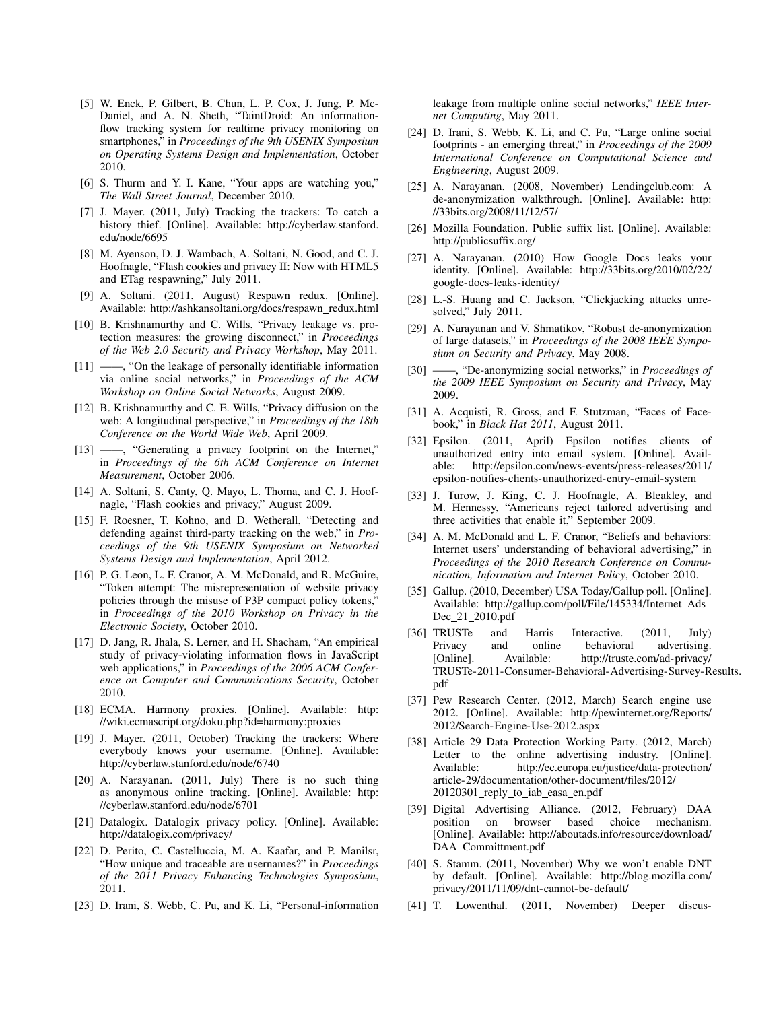- [5] W. Enck, P. Gilbert, B. Chun, L. P. Cox, J. Jung, P. Mc-Daniel, and A. N. Sheth, "TaintDroid: An informationflow tracking system for realtime privacy monitoring on smartphones," in *Proceedings of the 9th USENIX Symposium on Operating Systems Design and Implementation*, October 2010.
- [6] S. Thurm and Y. I. Kane, "Your apps are watching you," *The Wall Street Journal*, December 2010.
- [7] J. Mayer. (2011, July) Tracking the trackers: To catch a history thief. [Online]. Available: http://cyberlaw.stanford. edu/node/6695
- [8] M. Ayenson, D. J. Wambach, A. Soltani, N. Good, and C. J. Hoofnagle, "Flash cookies and privacy II: Now with HTML5 and ETag respawning," July 2011.
- [9] A. Soltani. (2011, August) Respawn redux. [Online]. Available: http://ashkansoltani.org/docs/respawn\_redux.html
- [10] B. Krishnamurthy and C. Wills, "Privacy leakage vs. protection measures: the growing disconnect," in *Proceedings of the Web 2.0 Security and Privacy Workshop*, May 2011.
- [11] ——, "On the leakage of personally identifiable information via online social networks," in *Proceedings of the ACM Workshop on Online Social Networks*, August 2009.
- [12] B. Krishnamurthy and C. E. Wills, "Privacy diffusion on the web: A longitudinal perspective," in *Proceedings of the 18th Conference on the World Wide Web*, April 2009.
- [13] ——, "Generating a privacy footprint on the Internet," in *Proceedings of the 6th ACM Conference on Internet Measurement*, October 2006.
- [14] A. Soltani, S. Canty, Q. Mayo, L. Thoma, and C. J. Hoofnagle, "Flash cookies and privacy," August 2009.
- [15] F. Roesner, T. Kohno, and D. Wetherall, "Detecting and defending against third-party tracking on the web," in *Proceedings of the 9th USENIX Symposium on Networked Systems Design and Implementation*, April 2012.
- [16] P. G. Leon, L. F. Cranor, A. M. McDonald, and R. McGuire, "Token attempt: The misrepresentation of website privacy policies through the misuse of P3P compact policy tokens," in *Proceedings of the 2010 Workshop on Privacy in the Electronic Society*, October 2010.
- [17] D. Jang, R. Jhala, S. Lerner, and H. Shacham, "An empirical study of privacy-violating information flows in JavaScript web applications," in *Proceedings of the 2006 ACM Conference on Computer and Communications Security*, October 2010.
- [18] ECMA. Harmony proxies. [Online]. Available: http: //wiki.ecmascript.org/doku.php?id=harmony:proxies
- [19] J. Mayer. (2011, October) Tracking the trackers: Where everybody knows your username. [Online]. Available: http://cyberlaw.stanford.edu/node/6740
- [20] A. Narayanan. (2011, July) There is no such thing as anonymous online tracking. [Online]. Available: http: //cyberlaw.stanford.edu/node/6701
- [21] Datalogix. Datalogix privacy policy. [Online]. Available: http://datalogix.com/privacy/
- [22] D. Perito, C. Castelluccia, M. A. Kaafar, and P. Manilsr, "How unique and traceable are usernames?" in *Proceedings of the 2011 Privacy Enhancing Technologies Symposium*, 2011.
- [23] D. Irani, S. Webb, C. Pu, and K. Li, "Personal-information

leakage from multiple online social networks," *IEEE Internet Computing*, May 2011.

- [24] D. Irani, S. Webb, K. Li, and C. Pu, "Large online social footprints - an emerging threat," in *Proceedings of the 2009 International Conference on Computational Science and Engineering*, August 2009.
- [25] A. Narayanan. (2008, November) Lendingclub.com: A de-anonymization walkthrough. [Online]. Available: http: //33bits.org/2008/11/12/57/
- [26] Mozilla Foundation. Public suffix list. [Online]. Available: http://publicsuffix.org/
- [27] A. Narayanan. (2010) How Google Docs leaks your identity. [Online]. Available: http://33bits.org/2010/02/22/ google-docs-leaks-identity/
- [28] L.-S. Huang and C. Jackson, "Clickjacking attacks unresolved," July 2011.
- [29] A. Narayanan and V. Shmatikov, "Robust de-anonymization of large datasets," in *Proceedings of the 2008 IEEE Symposium on Security and Privacy*, May 2008.
- [30] ——, "De-anonymizing social networks," in *Proceedings of the 2009 IEEE Symposium on Security and Privacy*, May 2009.
- [31] A. Acquisti, R. Gross, and F. Stutzman, "Faces of Facebook," in *Black Hat 2011*, August 2011.
- [32] Epsilon. (2011, April) Epsilon notifies clients of unauthorized entry into email system. [Online]. Available: http://epsilon.com/news-events/press-releases/2011/ epsilon-notifies-clients-unauthorized-entry-email-system
- [33] J. Turow, J. King, C. J. Hoofnagle, A. Bleakley, and M. Hennessy, "Americans reject tailored advertising and three activities that enable it," September 2009.
- [34] A. M. McDonald and L. F. Cranor, "Beliefs and behaviors: Internet users' understanding of behavioral advertising," in *Proceedings of the 2010 Research Conference on Communication, Information and Internet Policy*, October 2010.
- [35] Gallup. (2010, December) USA Today/Gallup poll. [Online]. Available: http://gallup.com/poll/File/145334/Internet\_Ads\_ Dec 21 2010.pdf
- [36] TRUSTe and Harris Interactive. (2011, July) and online behavioral advertising. [Online]. Available: http://truste.com/ad-privacy/ TRUSTe-2011-Consumer-Behavioral-Advertising-Survey-Results. pdf
- [37] Pew Research Center. (2012, March) Search engine use 2012. [Online]. Available: http://pewinternet.org/Reports/ 2012/Search-Engine-Use-2012.aspx
- [38] Article 29 Data Protection Working Party. (2012, March) Letter to the online advertising industry. [Online]. Available: http://ec.europa.eu/justice/data-protection/ article-29/documentation/other-document/files/2012/ 20120301 reply to iab easa en.pdf
- [39] Digital Advertising Alliance. (2012, February) DAA based choice mechanism. [Online]. Available: http://aboutads.info/resource/download/ DAA\_Committment.pdf
- [40] S. Stamm. (2011, November) Why we won't enable DNT by default. [Online]. Available: http://blog.mozilla.com/ privacy/2011/11/09/dnt-cannot-be-default/
- [41] T. Lowenthal. (2011, November) Deeper discus-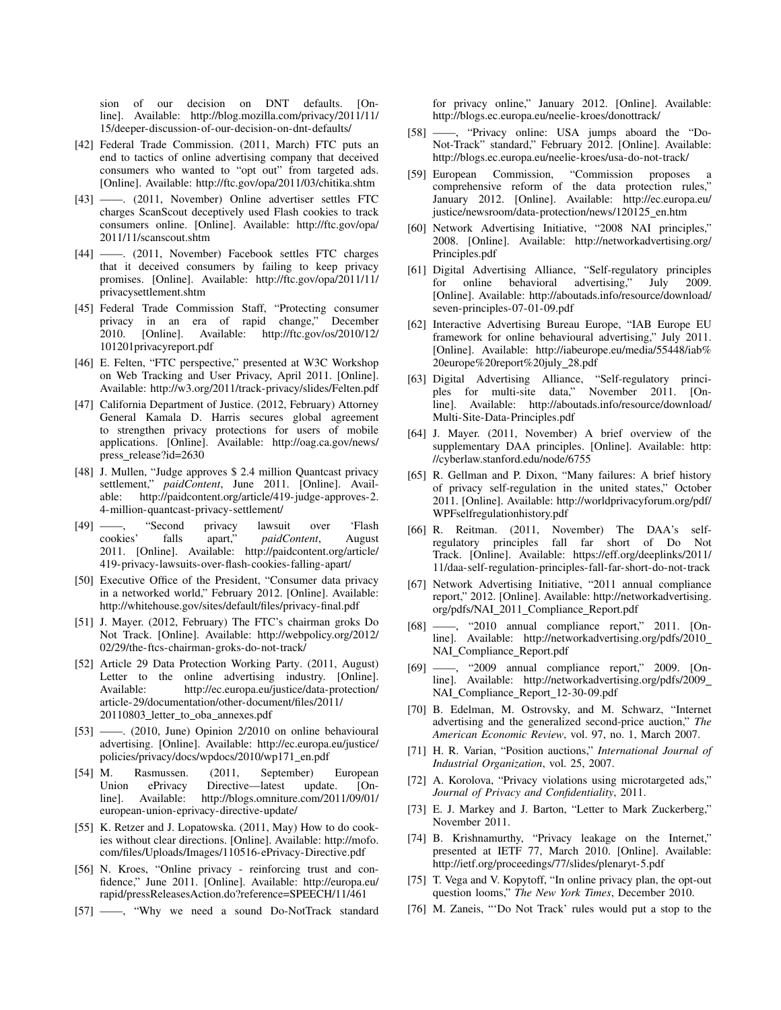sion of our decision on DNT defaults. [Online]. Available: http://blog.mozilla.com/privacy/2011/11/ 15/deeper-discussion-of-our-decision-on-dnt-defaults/

- [42] Federal Trade Commission. (2011, March) FTC puts an end to tactics of online advertising company that deceived consumers who wanted to "opt out" from targeted ads. [Online]. Available: http://ftc.gov/opa/2011/03/chitika.shtm
- [43] ——. (2011, November) Online advertiser settles FTC charges ScanScout deceptively used Flash cookies to track consumers online. [Online]. Available: http://ftc.gov/opa/ 2011/11/scanscout.shtm
- [44] ——. (2011, November) Facebook settles FTC charges that it deceived consumers by failing to keep privacy promises. [Online]. Available: http://ftc.gov/opa/2011/11/ privacysettlement.shtm
- [45] Federal Trade Commission Staff, "Protecting consumer privacy in an era of rapid change," December 2010. [Online]. Available: http://ftc.gov/os/2010/12/ 101201privacyreport.pdf
- [46] E. Felten, "FTC perspective," presented at W3C Workshop on Web Tracking and User Privacy, April 2011. [Online]. Available: http://w3.org/2011/track-privacy/slides/Felten.pdf
- [47] California Department of Justice. (2012, February) Attorney General Kamala D. Harris secures global agreement to strengthen privacy protections for users of mobile applications. [Online]. Available: http://oag.ca.gov/news/ press\_release?id=2630
- [48] J. Mullen, "Judge approves \$ 2.4 million Quantcast privacy settlement," *paidContent*, June 2011. [Online]. Available: http://paidcontent.org/article/419-judge-approves-2. 4-million-quantcast-privacy-settlement/
- [49] ——, "Second privacy lawsuit over 'Flash cookies' falls apart," *paidContent*, August falls apart," *paidContent*, August 2011. [Online]. Available: http://paidcontent.org/article/ 419-privacy-lawsuits-over-flash-cookies-falling-apart/
- [50] Executive Office of the President, "Consumer data privacy in a networked world," February 2012. [Online]. Available: http://whitehouse.gov/sites/default/files/privacy-final.pdf
- [51] J. Mayer. (2012, February) The FTC's chairman groks Do Not Track. [Online]. Available: http://webpolicy.org/2012/ 02/29/the-ftcs-chairman-groks-do-not-track/
- [52] Article 29 Data Protection Working Party. (2011, August) Letter to the online advertising industry. [Online]. Available: http://ec.europa.eu/justice/data-protection/ article-29/documentation/other-document/files/2011/ 20110803\_letter\_to\_oba\_annexes.pdf
- [53] ——. (2010, June) Opinion 2/2010 on online behavioural advertising. [Online]. Available: http://ec.europa.eu/justice/ policies/privacy/docs/wpdocs/2010/wp171\_en.pdf
- [54] M. Rasmussen. (2011, September) European Union ePrivacy Directive—latest update. [Online]. Available: http://blogs.omniture.com/2011/09/01/ european-union-eprivacy-directive-update/
- [55] K. Retzer and J. Lopatowska. (2011, May) How to do cookies without clear directions. [Online]. Available: http://mofo. com/files/Uploads/Images/110516-ePrivacy-Directive.pdf
- [56] N. Kroes, "Online privacy reinforcing trust and confidence," June 2011. [Online]. Available: http://europa.eu/ rapid/pressReleasesAction.do?reference=SPEECH/11/461
- [57] ——, "Why we need a sound Do-NotTrack standard

for privacy online," January 2012. [Online]. Available: http://blogs.ec.europa.eu/neelie-kroes/donottrack/

- [58] ——, "Privacy online: USA jumps aboard the "Do-Not-Track" standard," February 2012. [Online]. Available: http://blogs.ec.europa.eu/neelie-kroes/usa-do-not-track/
- [59] European Commission, "Commission proposes comprehensive reform of the data protection rules," January 2012. [Online]. Available: http://ec.europa.eu/ justice/newsroom/data-protection/news/120125\_en.htm
- [60] Network Advertising Initiative, "2008 NAI principles," 2008. [Online]. Available: http://networkadvertising.org/ Principles.pdf
- [61] Digital Advertising Alliance, "Self-regulatory principles for online behavioral advertising," July 2009. [Online]. Available: http://aboutads.info/resource/download/ seven-principles-07-01-09.pdf
- [62] Interactive Advertising Bureau Europe, "IAB Europe EU framework for online behavioural advertising," July 2011. [Online]. Available: http://iabeurope.eu/media/55448/iab% 20europe%20report%20july 28.pdf
- [63] Digital Advertising Alliance, "Self-regulatory principles for multi-site data," November 2011. [Online]. Available: http://aboutads.info/resource/download/ Multi-Site-Data-Principles.pdf
- [64] J. Mayer. (2011, November) A brief overview of the supplementary DAA principles. [Online]. Available: http: //cyberlaw.stanford.edu/node/6755
- [65] R. Gellman and P. Dixon, "Many failures: A brief history of privacy self-regulation in the united states," October 2011. [Online]. Available: http://worldprivacyforum.org/pdf/ WPFselfregulationhistory.pdf
- [66] R. Reitman. (2011, November) The DAA's selfregulatory principles fall far short of Do Not Track. [Online]. Available: https://eff.org/deeplinks/2011/ 11/daa-self-regulation-principles-fall-far-short-do-not-track
- [67] Network Advertising Initiative, "2011 annual compliance report," 2012. [Online]. Available: http://networkadvertising. org/pdfs/NAI 2011 Compliance Report.pdf
- [68] ——, "2010 annual compliance report," 2011. [Online]. Available: http://networkadvertising.org/pdfs/2010 NAI\_Compliance\_Report.pdf
- [69] ——, "2009 annual compliance report," 2009. [Online]. Available: http://networkadvertising.org/pdfs/2009 NAI\_Compliance\_Report\_12-30-09.pdf
- [70] B. Edelman, M. Ostrovsky, and M. Schwarz, "Internet advertising and the generalized second-price auction," *The American Economic Review*, vol. 97, no. 1, March 2007.
- [71] H. R. Varian, "Position auctions," *International Journal of Industrial Organization*, vol. 25, 2007.
- [72] A. Korolova, "Privacy violations using microtargeted ads," *Journal of Privacy and Confidentiality*, 2011.
- [73] E. J. Markey and J. Barton, "Letter to Mark Zuckerberg," November 2011.
- [74] B. Krishnamurthy, "Privacy leakage on the Internet," presented at IETF 77, March 2010. [Online]. Available: http://ietf.org/proceedings/77/slides/plenaryt-5.pdf
- [75] T. Vega and V. Kopytoff, "In online privacy plan, the opt-out question looms," *The New York Times*, December 2010.
- [76] M. Zaneis, "'Do Not Track' rules would put a stop to the